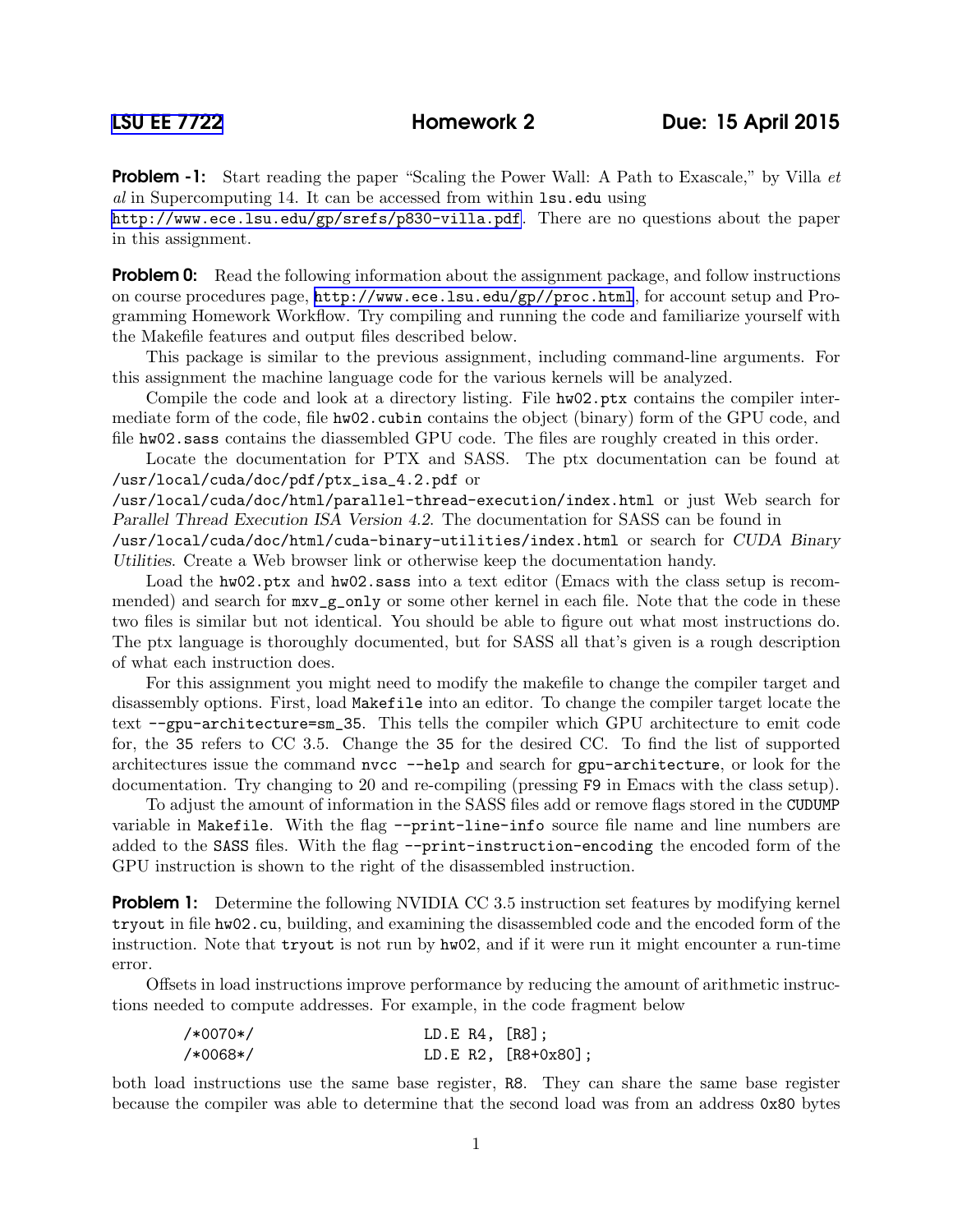**Problem -1:** Start reading the paper "Scaling the Power Wall: A Path to Exascale," by Villa *et* al in Supercomputing 14. It can be accessed from within lsu.edu using

<http://www.ece.lsu.edu/gp/srefs/p830-villa.pdf>. There are no questions about the paper in this assignment.

**Problem 0:** Read the following information about the assignment package, and follow instructions on course procedures page, <http://www.ece.lsu.edu/gp//proc.html>, for account setup and Programming Homework Workflow. Try compiling and running the code and familiarize yourself with the Makefile features and output files described below.

This package is similar to the previous assignment, including command-line arguments. For this assignment the machine language code for the various kernels will be analyzed.

Compile the code and look at a directory listing. File  $h\text{w02.}$  ptx contains the compiler intermediate form of the code, file hw02.cubin contains the object (binary) form of the GPU code, and file hw02.sass contains the diassembled GPU code. The files are roughly created in this order.

Locate the documentation for PTX and SASS. The ptx documentation can be found at /usr/local/cuda/doc/pdf/ptx\_isa\_4.2.pdf or

/usr/local/cuda/doc/html/parallel-thread-execution/index.html or just Web search for Parallel Thread Execution ISA Version 4.2. The documentation for SASS can be found in

/usr/local/cuda/doc/html/cuda-binary-utilities/index.html or search for CUDA Binary Utilities. Create a Web browser link or otherwise keep the documentation handy.

Load the hw02.ptx and hw02.sass into a text editor (Emacs with the class setup is recommended) and search for  $mxv_g$ -only or some other kernel in each file. Note that the code in these two files is similar but not identical. You should be able to figure out what most instructions do. The ptx language is thoroughly documented, but for SASS all that's given is a rough description of what each instruction does.

For this assignment you might need to modify the makefile to change the compiler target and disassembly options. First, load Makefile into an editor. To change the compiler target locate the text --gpu-architecture=sm\_35. This tells the compiler which GPU architecture to emit code for, the 35 refers to CC 3.5. Change the 35 for the desired CC. To find the list of supported architectures issue the command nvcc --help and search for gpu-architecture, or look for the documentation. Try changing to 20 and re-compiling (pressing F9 in Emacs with the class setup).

To adjust the amount of information in the SASS files add or remove flags stored in the CUDUMP variable in Makefile. With the flag --print-line-info source file name and line numbers are added to the SASS files. With the flag --print-instruction-encoding the encoded form of the GPU instruction is shown to the right of the disassembled instruction.

**Problem 1:** Determine the following NVIDIA CC 3.5 instruction set features by modifying kernel tryout in file hw02.cu, building, and examining the disassembled code and the encoded form of the instruction. Note that tryout is not run by hw02, and if it were run it might encounter a run-time error.

Offsets in load instructions improve performance by reducing the amount of arithmetic instructions needed to compute addresses. For example, in the code fragment below

| /*0070*/ | LD.E $R4$ , $[R8]$ ; |                     |
|----------|----------------------|---------------------|
| /*0068*/ |                      | LD.E R2, [R8+0x80]; |

both load instructions use the same base register, R8. They can share the same base register because the compiler was able to determine that the second load was from an address 0x80 bytes